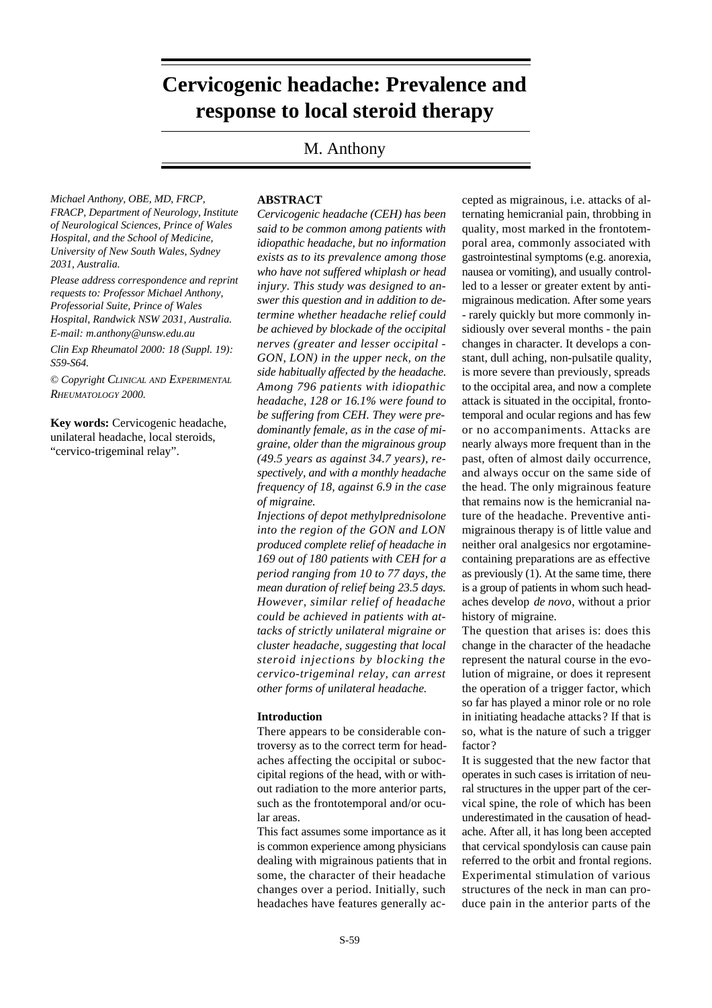# **Hypothalamus-pituitary-adrenocortical and -gonadal axis in RA / M. Cutolo Diagnostic nerve block techniques in CEH / H.A. van Suijlekom et al. EDITORIAL Cervicogenic headache: Prevalence and response to local steroid therapy**

## M. Anthony

*Michael Anthony, OBE, MD, FRCP, FRACP, Department of Neurology, Institute of Neurological Sciences, Prince of Wales Hospital, and the School of Medicine, University of New South Wales, Sydney 2031, Australia.*

*Please address correspondence and reprint requests to: Professor Michael Anthony, Professorial Suite, Prince of Wales Hospital, Randwick NSW 2031, Australia. E-mail: m.anthony@unsw.edu.au*

*Clin Exp Rheumatol 2000: 18 (Suppl. 19): S59-S64.*

© *Copyright CLINICAL AND EXPERIMENTAL RHEUMATOLOGY 2000.*

**Key words:** Cervicogenic headache, unilateral headache, local steroids, "cervico-trigeminal relay".

## **ABSTRACT**

*Cervicogenic headache (CEH) has been said to be common among patients with idiopathic headache, but no information exists as to its prevalence among those who have not suffered whiplash or head injury. This study was designed to answer this question and in addition to determine whether headache relief could be achieved by blockade of the occipital nerves (greater and lesser occipital - GON, LON) in the upper neck, on the side habitually affected by the headache. Among 796 patients with idiopathic headache, 128 or 16.1% were found to be suffering from CEH. They were predominantly female, as in the case of migraine, older than the migrainous group (49.5 years as against 34.7 years), respectively, and with a monthly headache frequency of 18, against 6.9 in the case of migraine.*

*Injections of depot methylprednisolone into the region of the GON and LON produced complete relief of headache in 169 out of 180 patients with CEH for a period ranging from 10 to 77 days, the mean duration of relief being 23.5 days. However, similar relief of headache could be achieved in patients with attacks of strictly unilateral migraine or cluster headache, suggesting that local steroid injections by blocking the cervico-trigeminal relay, can arrest other forms of unilateral headache.*

#### **Introduction**

There appears to be considerable controversy as to the correct term for headaches affecting the occipital or suboccipital regions of the head, with or without radiation to the more anterior parts, such as the frontotemporal and/or ocular areas.

This fact assumes some importance as it is common experience among physicians dealing with migrainous patients that in some, the character of their headache changes over a period. Initially, such headaches have features generally ac-

cepted as migrainous, i.e. attacks of alternating hemicranial pain, throbbing in quality, most marked in the frontotemporal area, commonly associated with gastrointestinal symptoms (e.g. anorexia, nausea or vomiting), and usually controlled to a lesser or greater extent by antimigrainous medication. After some years - rarely quickly but more commonly insidiously over several months - the pain changes in character. It develops a constant, dull aching, non-pulsatile quality, is more severe than previously, spreads to the occipital area, and now a complete attack is situated in the occipital, frontotemporal and ocular regions and has few or no accompaniments. Attacks are nearly always more frequent than in the past, often of almost daily occurrence, and always occur on the same side of the head. The only migrainous feature that remains now is the hemicranial nature of the headache. Preventive antimigrainous therapy is of little value and neither oral analgesics nor ergotaminecontaining preparations are as effective as previously (1). At the same time, there is a group of patients in whom such headaches develop *de novo*, without a prior history of migraine.

The question that arises is: does this change in the character of the headache represent the natural course in the evolution of migraine, or does it represent the operation of a trigger factor, which so far has played a minor role or no role in initiating headache attacks ? If that is so, what is the nature of such a trigger factor?

It is suggested that the new factor that operates in such cases is irritation of neural structures in the upper part of the cervical spine, the role of which has been underestimated in the causation of headache. After all, it has long been accepted that cervical spondylosis can cause pain referred to the orbit and frontal regions. Experimental stimulation of various structures of the neck in man can produce pain in the anterior parts of the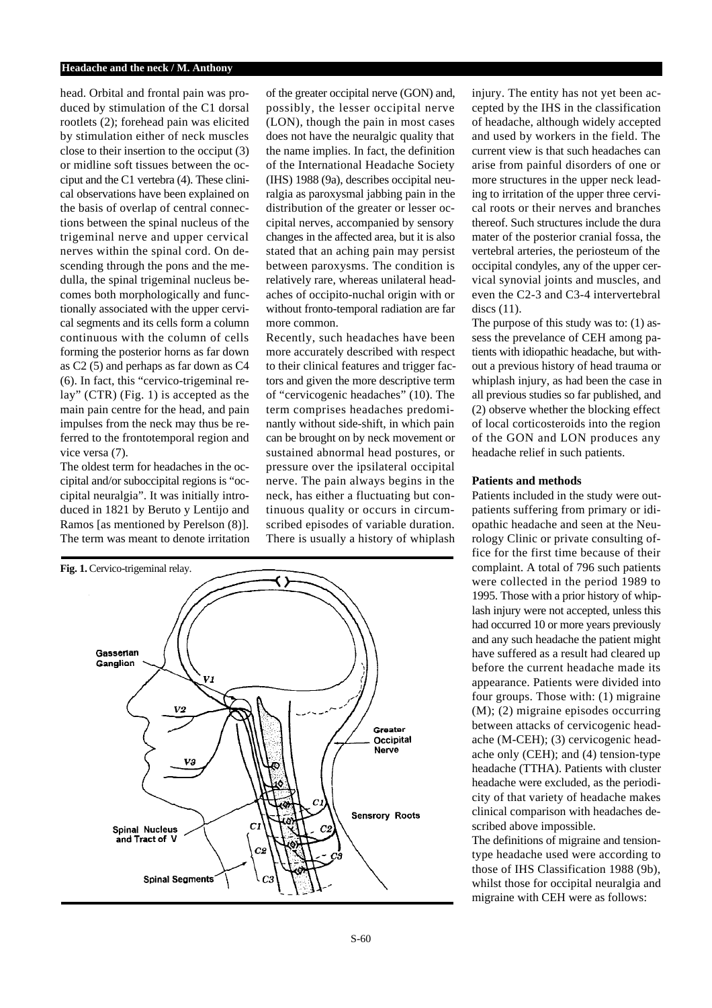head. Orbital and frontal pain was produced by stimulation of the C1 dorsal rootlets (2); forehead pain was elicited by stimulation either of neck muscles close to their insertion to the occiput (3) or midline soft tissues between the occiput and the C1 vertebra (4). These clinical observations have been explained on the basis of overlap of central connections between the spinal nucleus of the trigeminal nerve and upper cervical nerves within the spinal cord. On descending through the pons and the medulla, the spinal trigeminal nucleus becomes both morphologically and functionally associated with the upper cervical segments and its cells form a column continuous with the column of cells forming the posterior horns as far down as C2 (5) and perhaps as far down as C4 (6). In fact, this "cervico-trigeminal relay" (CTR) (Fig. 1) is accepted as the main pain centre for the head, and pain impulses from the neck may thus be referred to the frontotemporal region and vice versa (7).

The oldest term for headaches in the occipital and/or suboccipital regions is "occipital neuralgia". It was initially introduced in 1821 by Beruto y Lentijo and Ramos [as mentioned by Perelson (8)]. The term was meant to denote irritation of the greater occipital nerve (GON) and, possibly, the lesser occipital nerve (LON), though the pain in most cases does not have the neuralgic quality that the name implies. In fact, the definition of the International Headache Society (IHS) 1988 (9a), describes occipital neuralgia as paroxysmal jabbing pain in the distribution of the greater or lesser occipital nerves, accompanied by sensory changes in the affected area, but it is also stated that an aching pain may persist between paroxysms. The condition is relatively rare, whereas unilateral headaches of occipito-nuchal origin with or without fronto-temporal radiation are far more common.

Recently, such headaches have been more accurately described with respect to their clinical features and trigger factors and given the more descriptive term of "cervicogenic headaches" (10). The term comprises headaches predominantly without side-shift, in which pain can be brought on by neck movement or sustained abnormal head postures, or pressure over the ipsilateral occipital nerve. The pain always begins in the neck, has either a fluctuating but continuous quality or occurs in circumscribed episodes of variable duration. There is usually a history of whiplash



injury. The entity has not yet been accepted by the IHS in the classification of headache, although widely accepted and used by workers in the field. The current view is that such headaches can arise from painful disorders of one or more structures in the upper neck leading to irritation of the upper three cervical roots or their nerves and branches thereof. Such structures include the dura mater of the posterior cranial fossa, the vertebral arteries, the periosteum of the occipital condyles, any of the upper cervical synovial joints and muscles, and even the C2-3 and C3-4 intervertebral discs (11).

The purpose of this study was to: (1) assess the prevelance of CEH among patients with idiopathic headache, but without a previous history of head trauma or whiplash injury, as had been the case in all previous studies so far published, and (2) observe whether the blocking effect of local corticosteroids into the region of the GON and LON produces any headache relief in such patients.

### **Patients and methods**

Patients included in the study were outpatients suffering from primary or idiopathic headache and seen at the Neurology Clinic or private consulting office for the first time because of their complaint. A total of 796 such patients were collected in the period 1989 to 1995. Those with a prior history of whiplash injury were not accepted, unless this had occurred 10 or more years previously and any such headache the patient might have suffered as a result had cleared up before the current headache made its appearance. Patients were divided into four groups. Those with: (1) migraine (M); (2) migraine episodes occurring between attacks of cervicogenic headache (M-CEH); (3) cervicogenic headache only (CEH); and (4) tension-type headache (TTHA). Patients with cluster headache were excluded, as the periodicity of that variety of headache makes clinical comparison with headaches described above impossible.

The definitions of migraine and tensiontype headache used were according to those of IHS Classification 1988 (9b), whilst those for occipital neuralgia and migraine with CEH were as follows: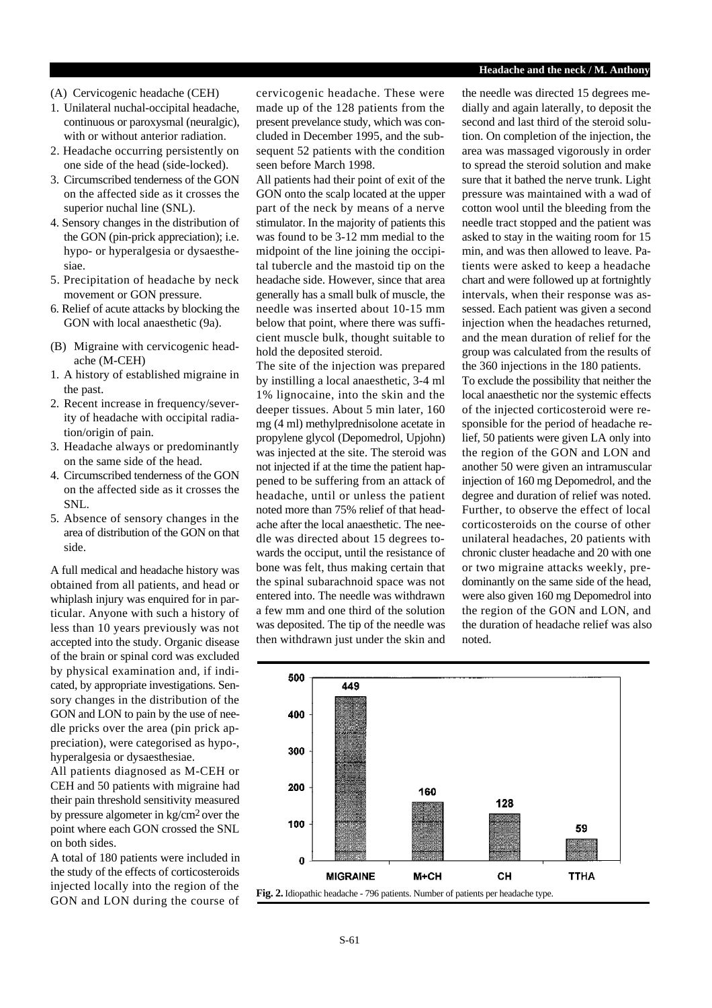- (A) Cervicogenic headache (CEH)
- 1. Unilateral nuchal-occipital headache, continuous or paroxysmal (neuralgic), with or without anterior radiation.
- 2. Headache occurring persistently on one side of the head (side-locked).
- 3. Circumscribed tenderness of the GON on the affected side as it crosses the superior nuchal line (SNL).
- 4. Sensory changes in the distribution of the GON (pin-prick appreciation); i.e. hypo- or hyperalgesia or dysaesthesiae.
- 5. Precipitation of headache by neck movement or GON pressure.
- 6. Relief of acute attacks by blocking the GON with local anaesthetic (9a).
- (B) Migraine with cervicogenic headache (M-CEH)
- 1. A history of established migraine in the past.
- 2. Recent increase in frequency/severity of headache with occipital radiation/origin of pain.
- 3. Headache always or predominantly on the same side of the head.
- 4. Circumscribed tenderness of the GON on the affected side as it crosses the SNL.
- 5. Absence of sensory changes in the area of distribution of the GON on that side.

A full medical and headache history was obtained from all patients, and head or whiplash injury was enquired for in particular. Anyone with such a history of less than 10 years previously was not accepted into the study. Organic disease of the brain or spinal cord was excluded by physical examination and, if indicated, by appropriate investigations. Sensory changes in the distribution of the GON and LON to pain by the use of needle pricks over the area (pin prick appreciation), were categorised as hypo-, hyperalgesia or dysaesthesiae.

All patients diagnosed as M-CEH or CEH and 50 patients with migraine had their pain threshold sensitivity measured by pressure algometer in kg/cm2 over the point where each GON crossed the SNL on both sides.

A total of 180 patients were included in the study of the effects of corticosteroids injected locally into the region of the GON and LON during the course of

cervicogenic headache. These were made up of the 128 patients from the present prevelance study, which was concluded in December 1995, and the subsequent 52 patients with the condition seen before March 1998.

All patients had their point of exit of the GON onto the scalp located at the upper part of the neck by means of a nerve stimulator. In the majority of patients this was found to be 3-12 mm medial to the midpoint of the line joining the occipital tubercle and the mastoid tip on the headache side. However, since that area generally has a small bulk of muscle, the needle was inserted about 10-15 mm below that point, where there was sufficient muscle bulk, thought suitable to hold the deposited steroid.

The site of the injection was prepared by instilling a local anaesthetic, 3-4 ml 1% lignocaine, into the skin and the deeper tissues. About 5 min later, 160 mg (4 ml) methylprednisolone acetate in propylene glycol (Depomedrol, Upjohn) was injected at the site. The steroid was not injected if at the time the patient happened to be suffering from an attack of headache, until or unless the patient noted more than 75% relief of that headache after the local anaesthetic. The needle was directed about 15 degrees towards the occiput, until the resistance of bone was felt, thus making certain that the spinal subarachnoid space was not entered into. The needle was withdrawn a few mm and one third of the solution was deposited. The tip of the needle was then withdrawn just under the skin and

the needle was directed 15 degrees medially and again laterally, to deposit the second and last third of the steroid solution. On completion of the injection, the area was massaged vigorously in order to spread the steroid solution and make sure that it bathed the nerve trunk. Light pressure was maintained with a wad of cotton wool until the bleeding from the needle tract stopped and the patient was asked to stay in the waiting room for 15 min, and was then allowed to leave. Patients were asked to keep a headache chart and were followed up at fortnightly intervals, when their response was assessed. Each patient was given a second injection when the headaches returned, and the mean duration of relief for the group was calculated from the results of the 360 injections in the 180 patients. To exclude the possibility that neither the local anaesthetic nor the systemic effects of the injected corticosteroid were re-

sponsible for the period of headache relief, 50 patients were given LA only into the region of the GON and LON and another 50 were given an intramuscular injection of 160 mg Depomedrol, and the degree and duration of relief was noted. Further, to observe the effect of local corticosteroids on the course of other unilateral headaches, 20 patients with chronic cluster headache and 20 with one or two migraine attacks weekly, predominantly on the same side of the head, were also given 160 mg Depomedrol into the region of the GON and LON, and the duration of headache relief was also noted.

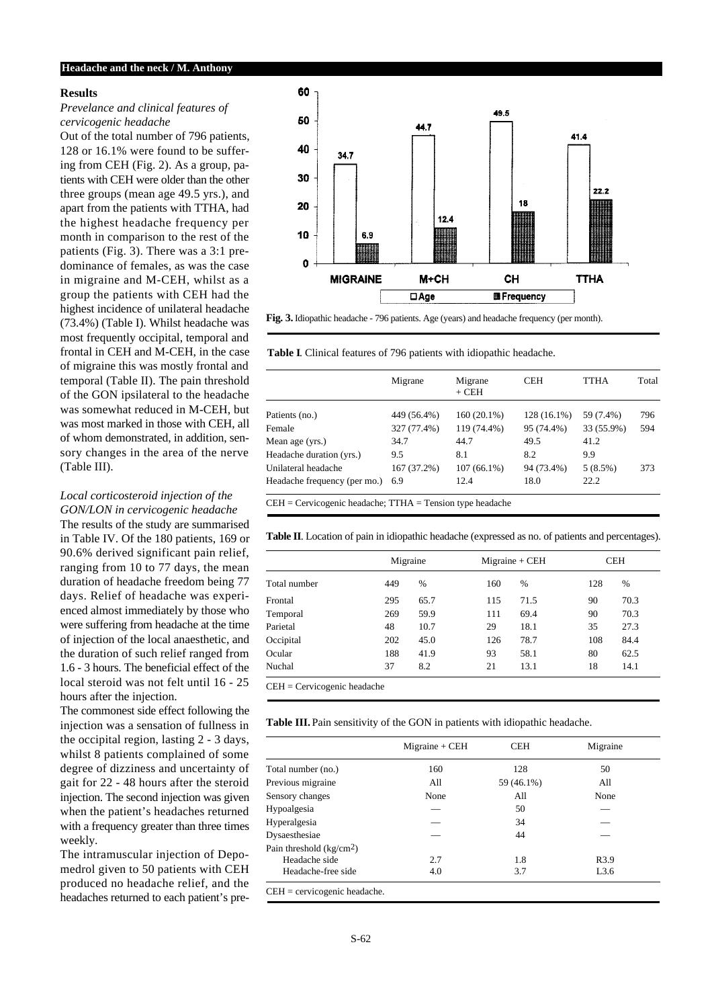#### **Results**

## *Prevelance and clinical features of cervicogenic headache*

Out of the total number of 796 patients, 128 or 16.1% were found to be suffering from CEH (Fig. 2). As a group, patients with CEH were older than the other three groups (mean age 49.5 yrs.), and apart from the patients with TTHA, had the highest headache frequency per month in comparison to the rest of the patients (Fig. 3). There was a 3:1 predominance of females, as was the case in migraine and M-CEH, whilst as a group the patients with CEH had the highest incidence of unilateral headache (73.4%) (Table I). Whilst headache was most frequently occipital, temporal and frontal in CEH and M-CEH, in the case of migraine this was mostly frontal and temporal (Table II). The pain threshold of the GON ipsilateral to the headache was somewhat reduced in M-CEH, but was most marked in those with CEH, all of whom demonstrated, in addition, sensory changes in the area of the nerve (Table III).

#### *Local corticosteroid injection of the GON/LON in cervicogenic headache*

The results of the study are summarised in Table IV. Of the 180 patients, 169 or 90.6% derived significant pain relief, ranging from 10 to 77 days, the mean duration of headache freedom being 77 days. Relief of headache was experienced almost immediately by those who were suffering from headache at the time of injection of the local anaesthetic, and the duration of such relief ranged from 1.6 - 3 hours. The beneficial effect of the local steroid was not felt until 16 - 25 hours after the injection.

The commonest side effect following the injection was a sensation of fullness in the occipital region, lasting 2 - 3 days, whilst 8 patients complained of some degree of dizziness and uncertainty of gait for 22 - 48 hours after the steroid injection. The second injection was given when the patient's headaches returned with a frequency greater than three times weekly.

The intramuscular injection of Depomedrol given to 50 patients with CEH produced no headache relief, and the headaches returned to each patient's pre-



**Fig. 3.** Idiopathic headache - 796 patients. Age (years) and headache frequency (per month).

**Table I**. Clinical features of 796 patients with idiopathic headache.

|                              | Migrane     | Migrane<br>$+$ CEH | <b>CEH</b>  | <b>TTHA</b> | Total |
|------------------------------|-------------|--------------------|-------------|-------------|-------|
| Patients (no.)               | 449 (56.4%) | 160 (20.1%)        | 128 (16.1%) | 59 (7.4%)   | 796   |
| Female                       | 327 (77.4%) | 119 (74.4%)        | 95 (74.4%)  | 33 (55.9%)  | 594   |
| Mean age (yrs.)              | 34.7        | 44.7               | 49.5        | 41.2        |       |
| Headache duration (yrs.)     | 9.5         | 8.1                | 8.2         | 9.9         |       |
| Unilateral headache          | 167 (37.2%) | $107(66.1\%)$      | 94 (73.4%)  | 5(8.5%)     | 373   |
| Headache frequency (per mo.) | 6.9         | 12.4               | 18.0        | 22.2        |       |

CEH = Cervicogenic headache; TTHA = Tension type headache

**Table II**. Location of pain in idiopathic headache (expressed as no. of patients and percentages).

|              |     | Migraine | $Migraine + CEH$ |      | <b>CEH</b> |      |
|--------------|-----|----------|------------------|------|------------|------|
| Total number | 449 | $\%$     | 160              | %    | 128        | $\%$ |
| Frontal      | 295 | 65.7     | 115              | 71.5 | 90         | 70.3 |
| Temporal     | 269 | 59.9     | 111              | 69.4 | 90         | 70.3 |
| Parietal     | 48  | 10.7     | 29               | 18.1 | 35         | 27.3 |
| Occipital    | 202 | 45.0     | 126              | 78.7 | 108        | 84.4 |
| Ocular       | 188 | 41.9     | 93               | 58.1 | 80         | 62.5 |
| Nuchal       | 37  | 8.2      | 21               | 13.1 | 18         | 14.1 |

CEH = Cervicogenic headache

**Table III.** Pain sensitivity of the GON in patients with idiopathic headache.

|                           | $Migraine + CEH$ | <b>CEH</b> | Migraine         |
|---------------------------|------------------|------------|------------------|
| Total number (no.)        | 160              | 128        | 50               |
| Previous migraine         | All              | 59 (46.1%) | All              |
| Sensory changes           | None             | All        | None             |
| Hypoalgesia               |                  | 50         |                  |
| Hyperalgesia              |                  | 34         |                  |
| Dysaesthesiae             |                  | 44         |                  |
| Pain threshold $(kg/cm2)$ |                  |            |                  |
| Headache side             | 2.7              | 1.8        | R <sub>3.9</sub> |
| Headache-free side        | 4.0              | 3.7        | L3.6             |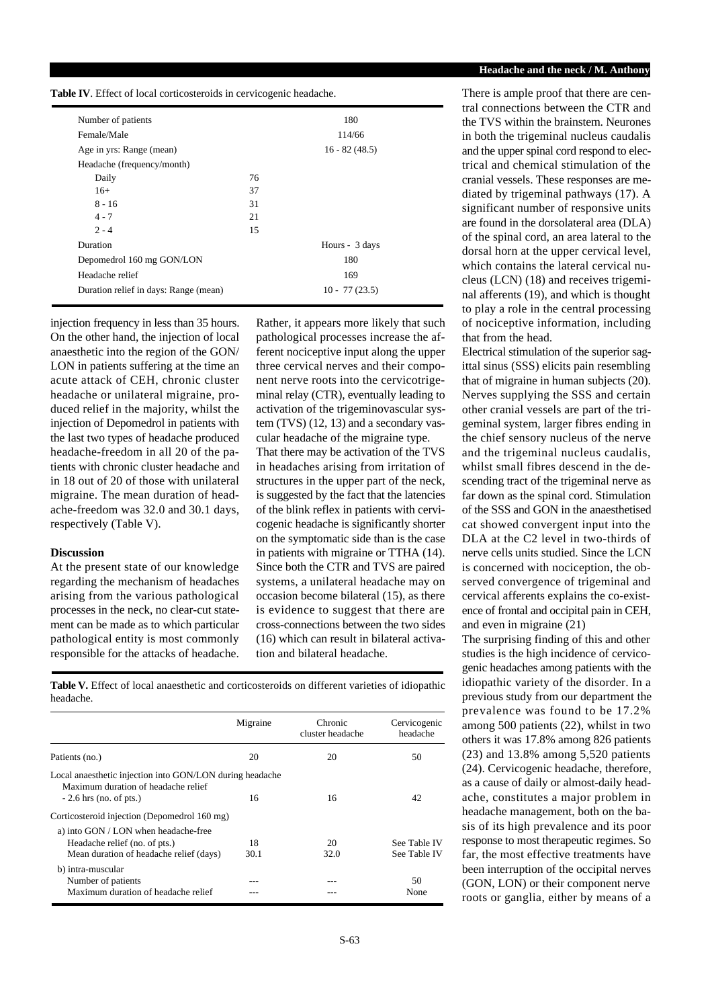**Table IV**. Effect of local corticosteroids in cervicogenic headache.

| Number of patients<br>Female/Male     |    | 180<br>114/66   |
|---------------------------------------|----|-----------------|
|                                       |    |                 |
| Age in yrs: Range (mean)              |    | $16 - 82(48.5)$ |
| Headache (frequency/month)            |    |                 |
| Daily                                 | 76 |                 |
| $16+$                                 | 37 |                 |
| $8 - 16$                              | 31 |                 |
| $4 - 7$                               | 21 |                 |
| $2 - 4$                               | 15 |                 |
| Duration                              |    | Hours - 3 days  |
| Depomedrol 160 mg GON/LON             |    | 180             |
| Headache relief                       |    | 169             |
| Duration relief in days: Range (mean) |    | $10 - 77(23.5)$ |
|                                       |    |                 |

injection frequency in less than 35 hours. On the other hand, the injection of local anaesthetic into the region of the GON/ LON in patients suffering at the time an acute attack of CEH, chronic cluster headache or unilateral migraine, produced relief in the majority, whilst the injection of Depomedrol in patients with the last two types of headache produced headache-freedom in all 20 of the patients with chronic cluster headache and in 18 out of 20 of those with unilateral migraine. The mean duration of headache-freedom was 32.0 and 30.1 days, respectively (Table V).

#### **Discussion**

At the present state of our knowledge regarding the mechanism of headaches arising from the various pathological processes in the neck, no clear-cut statement can be made as to which particular pathological entity is most commonly responsible for the attacks of headache.

Rather, it appears more likely that such pathological processes increase the afferent nociceptive input along the upper three cervical nerves and their component nerve roots into the cervicotrigeminal relay (CTR), eventually leading to activation of the trigeminovascular system (TVS) (12, 13) and a secondary vascular headache of the migraine type. That there may be activation of the TVS in headaches arising from irritation of structures in the upper part of the neck, is suggested by the fact that the latencies of the blink reflex in patients with cervicogenic headache is significantly shorter on the symptomatic side than is the case in patients with migraine or TTHA (14). Since both the CTR and TVS are paired systems, a unilateral headache may on occasion become bilateral (15), as there is evidence to suggest that there are cross-connections between the two sides (16) which can result in bilateral activation and bilateral headache.

**Table V.** Effect of local anaesthetic and corticosteroids on different varieties of idiopathic headache.

|                                                                                                 | Migraine | Chronic<br>cluster headache | Cervicogenic<br>headache |
|-------------------------------------------------------------------------------------------------|----------|-----------------------------|--------------------------|
| Patients (no.)                                                                                  | 20       | 20                          | 50                       |
| Local anaesthetic injection into GON/LON during headache<br>Maximum duration of headache relief |          |                             |                          |
| $-2.6$ hrs (no. of pts.)                                                                        | 16       | 16                          | 42                       |
| Corticosteroid injection (Depomedrol 160 mg)                                                    |          |                             |                          |
| a) into GON / LON when headache-free                                                            |          |                             |                          |
| Headache relief (no. of pts.)                                                                   | 18       | 20                          | See Table IV             |
| Mean duration of headache relief (days)                                                         | 30.1     | 32.0                        | See Table IV             |
| b) intra-muscular                                                                               |          |                             |                          |
| Number of patients                                                                              |          |                             | 50                       |
| Maximum duration of headache relief                                                             |          |                             | None                     |

#### Headache and the neck / M. Anthony

There is ample proof that there are central connections between the CTR and the TVS within the brainstem. Neurones in both the trigeminal nucleus caudalis and the upper spinal cord respond to electrical and chemical stimulation of the cranial vessels. These responses are mediated by trigeminal pathways (17). A significant number of responsive units are found in the dorsolateral area (DLA) of the spinal cord, an area lateral to the dorsal horn at the upper cervical level, which contains the lateral cervical nucleus (LCN) (18) and receives trigeminal afferents (19), and which is thought to play a role in the central processing of nociceptive information, including that from the head.

Electrical stimulation of the superior sagittal sinus (SSS) elicits pain resembling that of migraine in human subjects (20). Nerves supplying the SSS and certain other cranial vessels are part of the trigeminal system, larger fibres ending in the chief sensory nucleus of the nerve and the trigeminal nucleus caudalis, whilst small fibres descend in the descending tract of the trigeminal nerve as far down as the spinal cord. Stimulation of the SSS and GON in the anaesthetised cat showed convergent input into the DLA at the C2 level in two-thirds of nerve cells units studied. Since the LCN is concerned with nociception, the observed convergence of trigeminal and cervical afferents explains the co-existence of frontal and occipital pain in CEH, and even in migraine (21)

The surprising finding of this and other studies is the high incidence of cervicogenic headaches among patients with the idiopathic variety of the disorder. In a previous study from our department the prevalence was found to be 17.2% among 500 patients (22), whilst in two others it was 17.8% among 826 patients (23) and 13.8% among 5,520 patients (24). Cervicogenic headache, therefore, as a cause of daily or almost-daily headache, constitutes a major problem in headache management, both on the basis of its high prevalence and its poor response to most therapeutic regimes. So far, the most effective treatments have been interruption of the occipital nerves (GON, LON) or their component nerve roots or ganglia, either by means of a